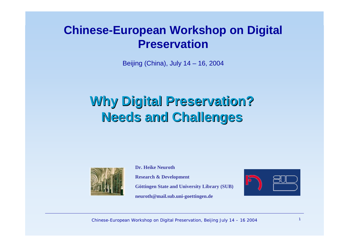#### **Chinese-European Workshop on Digital Preservation**

Beijing (China), July 14 – 16, 2004

# **Why Digital Preservation? Why Digital Preservation? Needs and Challenges Needs and Challenges**



**Dr. Heike NeurothResearch & Development Göttingen State and University Library (SUB) neuroth@mail.sub.uni-goettingen.de**



Chinese-European Workshop on Digital Preservation, Beijing July  $14 - 16$  2004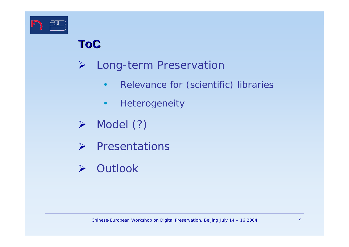

### **ToC**

- ¾ Long-term Preservation
	- •Relevance for (scientific) libraries
	- •Heterogeneity
- ¾Model (?)
- ¾ Presentations
- ¾ Outlook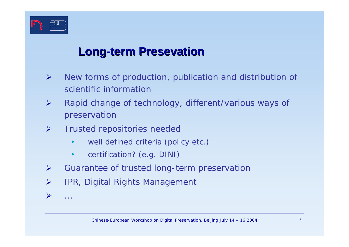

 $\blacktriangleright$ 

...

#### **Long-term Presevation**

- $\blacktriangleright$  New forms of production, publication and distribution of scientific information
- ¾ Rapid change of technology, different/various ways of preservation
- $\blacktriangleright$  Trusted repositories needed
	- •well defined criteria (policy etc.)
	- •certification? (e.g. DINI)
- ¾Guarantee of trusted long-term preservation
- ¾IPR, Digital Rights Management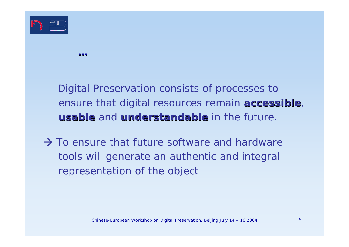

Digital Preservation consists of processes to ensure that digital resources remain **accessible**, **usable** and **understandable understandable** in the future.

 $\rightarrow$  To ensure that future software and hardware tools will generate an authentic and integral representation of the object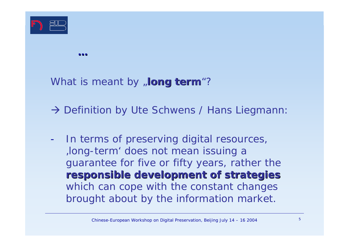

What is meant by **, long term**"?

→ Definition by Ute Schwens / Hans Liegmann:

- In terms of preserving digital resources, 'long-term' does not mean issuing a guarantee for five or fifty years, rather the **responsible development of strategies responsible development of strategies** which can cope with the constant changes brought about by the information market.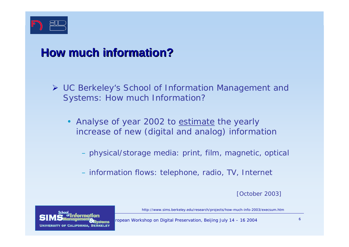

### **How much information information?**

- ¾ UC Berkeley's School of Information Management and Systems: How much Information?
	- •Analyse of year 2002 to estimate the yearly increase of new (digital and analog) information
		- physical/storage media: print, film, magnetic, optical
		- information flows: telephone, radio, TV, Internet

[October 2003]

http://www.sims.berkeley.edu/research/projects/how-much-info-2003/execsum.htm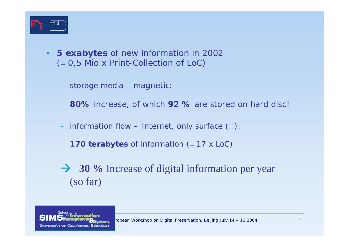

- • **5 exabytes** of new information in 2002 (<sup>=</sup> 0,5 Mio x Print-Collection of LoC)
	- storage media magnetic:

**80%** increase, of which **92 %** are stored on hard disc!

information flow – Internet, only surface (!!):

**170 terabytes** of information (= 17 x LoC)

**→ 30 %** Increase of digital information per year (so far)

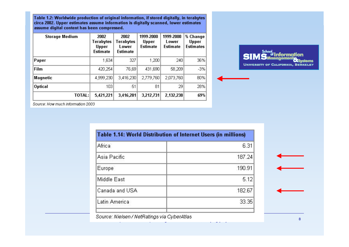Table 1.2: Worldwide production of original information, if stored digitally, in terabytes circa 2002. Upper estimates assume information is digitally scanned, lower estimates assume digital content has been compressed.

| <b>Storage Medium</b> | 2002<br>Terabytes<br>Upper<br><b>Estimate</b> | 2002<br>Terabytes<br>Lower<br><b>Estimate</b> | 1999-2000<br>Upper<br><b>Estimate</b> | 1999-2000<br>Lower<br><b>Estimate</b> | % Change<br>Upper<br><b>Estimates</b> |
|-----------------------|-----------------------------------------------|-----------------------------------------------|---------------------------------------|---------------------------------------|---------------------------------------|
| Paper                 | 1,634                                         | 327                                           | 1,200                                 | 240                                   | 36%                                   |
| Film                  | 420,254                                       | 76,69                                         | 431,690                               | 58,209                                | $-3%$                                 |
| Magnetic              | 4,999,230                                     | 3,416,230                                     | 2,779,760                             | 2,073,760                             | 80%                                   |
| <b>Optical</b>        | 103                                           | 51                                            | 81                                    | 29                                    | 28%                                   |
| TOTAL:                | 5,421,221                                     | 3,416,281                                     | 3,212,731                             | 2,132,238                             | 69%                                   |



Source: How much information 2003

| Table 1.14: World Distribution of Internet Users (in millions) |  |  |
|----------------------------------------------------------------|--|--|
| 6.31                                                           |  |  |
| 187.24                                                         |  |  |
| 190.91                                                         |  |  |
| 5.12                                                           |  |  |
| 182.67                                                         |  |  |
| 33.35                                                          |  |  |
|                                                                |  |  |

Source: Nielsen / NetRatings via CyberAtlas l Preservation, Beijing July 14 – 16 2004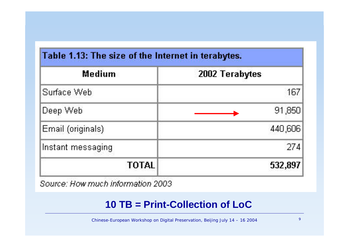| Table 1.13: The size of the Internet in terabytes.<br>Medium |                |  |  |  |
|--------------------------------------------------------------|----------------|--|--|--|
|                                                              | 2002 Terabytes |  |  |  |
| Surface Web                                                  | 167            |  |  |  |
| Deep Web                                                     | 91,850         |  |  |  |
| Email (originals)                                            | 440,606        |  |  |  |
| Instant messaging                                            | 274'           |  |  |  |
| <b>TOTAL</b>                                                 | 532,897        |  |  |  |

Source: How much information 2003

#### **10 TB = Print-Collection of LoC**

Chinese-European Workshop on Digital Preservation, Beijing July  $14 - 16$  2004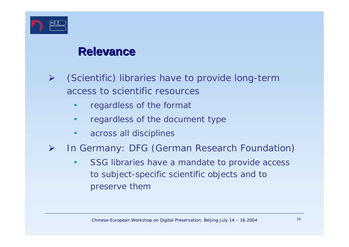

#### **Relevance Relevance**

- ¾ (Scientific) libraries have to provide long-term access to scientific resources
	- •regardless of the format
	- •regardless of the document type
	- •across all disciplines
- ¾ In Germany: DFG (German Research Foundation)
	- • SSG libraries have a mandate to provide access to subject-specific scientific objects and to preserve them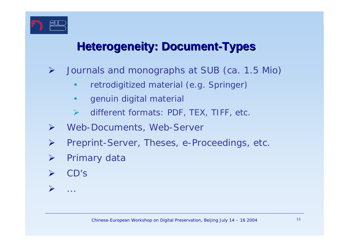

#### **Heterogeneity: Document-Types**

- ¾ Journals and monographs at SUB (ca. 1.5 Mio)
	- •retrodigitized material (e.g. Springer)
	- $\bullet$ genuin digital material
	- ¾different formats: PDF, TEX, TIFF, etc.
- $\blacktriangleright$ Web-Documents, Web-Server
- ¾Preprint-Server, Theses, e-Proceedings, etc.
- ¾Primary data
- ¾CD's

...

 $\blacktriangleright$ 

Chinese-European Workshop on Digital Preservation, Beijing July 14 – 16 2004 11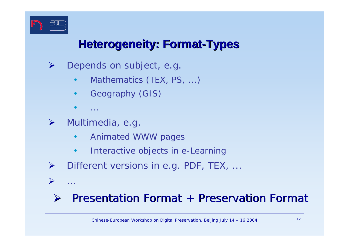

 $\blacktriangleright$ 

...

#### **Heterogeneity: Format-Types**

- ¾ Depends on subject, e.g.
	- •Mathematics (TEX, PS, ...)
	- •Geography (GIS)
	- •...
- ¾ Multimedia, e.g.
	- •Animated WWW pages
	- •Interactive objects in e-Learning
- ¾Different versions in e.g. PDF, TEX, ...

#### ¾ $\triangleright$  Presentation Format + Preservation Format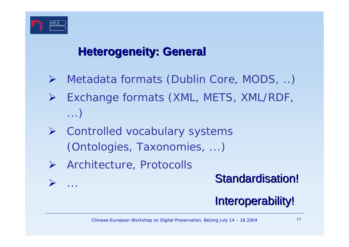

¾

...

#### **Heterogeneity: General**

- $\blacktriangleright$ Metadata formats (Dublin Core, MODS, ..)
- $\blacktriangleright$  Exchange formats (XML, METS, XML/RDF, ...)
- ¾ Controlled vocabulary systems (Ontologies, Taxonomies, ...)
- ¾ Architecture, Protocolls

#### **Standardisation!**

### Interoperability!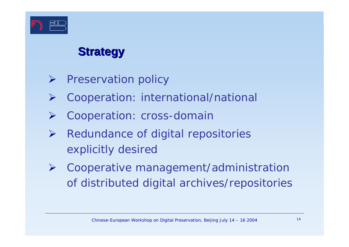

### **Strategy Strategy**

- ¾Preservation policy
- ¾Cooperation: international/national
- ¾Cooperation: cross-domain
- ¾ Redundance of digital repositories explicitly desired
- ¾ Cooperative management/administration of distributed digital archives/repositories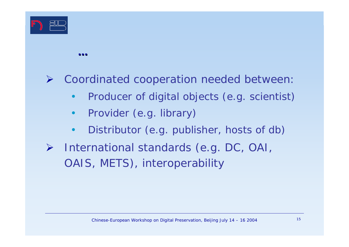

#### ¾Coordinated cooperation needed between:

- $\bullet$ Producer of digital objects (e.g. scientist)
- •Provider (e.g. library)
- $\bullet$ Distributor (e.g. publisher, hosts of db)
- ¾ International standards (e.g. DC, OAI, OAIS, METS), interoperability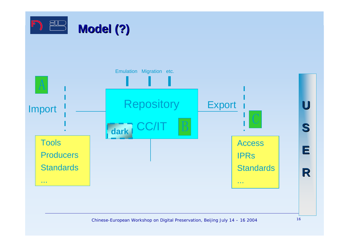



Chinese-European Workshop on Digital Preservation, Beijing July 14 – 16 2004 16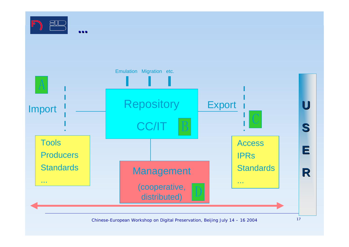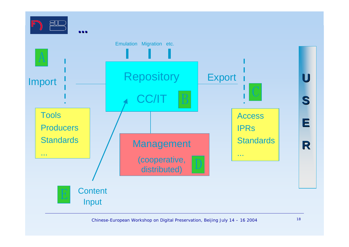

Chinese-European Workshop on Digital Preservation, Beijing July 14 – 16 2004 18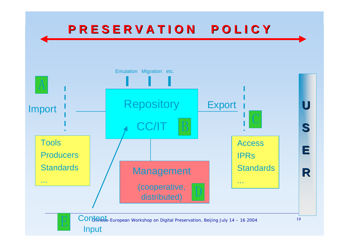## **P R E S E R V A T I O N P O L I C Y P R E S E R V A T I O N P O L I C Y**

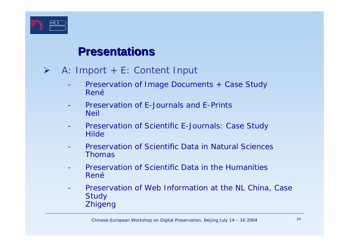

#### **Presentations Presentations**

- $\blacktriangleright$
- A: Import + E: Content Input
	- Preservation of Image Documents + Case Study *René*
	- - Preservation of E-Journals and E-Prints*Neil*
	- - Preservation of Scientific E-Journals: Case Study *Hilde*
	- - Preservation of Scientific Data in Natural Sciences*Thomas*
	- - Preservation of Scientific Data in the Humanities*René*
	- - Preservation of Web Information at the NL China, Case **Study** *Zhigeng*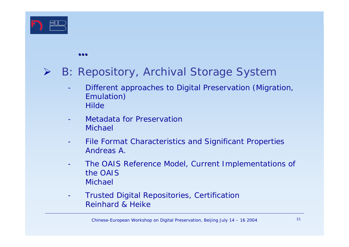

#### $\blacktriangleright$ B: Repository, Archival Storage System

- Different approaches to Digital Preservation (Migration, Emulation) *Hilde*
- - Metadata for Preservation*Michael*
- - File Format Characteristics and Significant Properties *Andreas A.*
- - The OAIS Reference Model, Current Implementations of the OAIS*Michael*
- - Trusted Digital Repositories, Certification *Reinhard & Heike*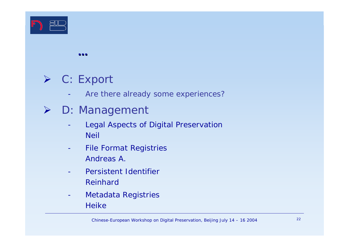

## ¾ C: Export

-Are there already some experiences?

#### ¾ D: Management

- - Legal Aspects of Digital Preservation *Neil*
- - File Format Registries *Andreas A.*
- - Persistent Identifier*Reinhard*
- - Metadata Registries *Heike*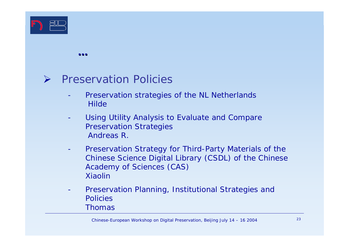

#### ¾ Preservation Policies

- - Preservation strategies of the NL Netherlands *Hilde*
- - Using Utility Analysis to Evaluate and Compare Preservation Strategies *Andreas R.*
- - Preservation Strategy for Third-Party Materials of the Chinese Science Digital Library (CSDL) of the Chinese Academy of Sciences (CAS) *Xiaolin*
- - Preservation Planning, Institutional Strategies and Policies*Thomas*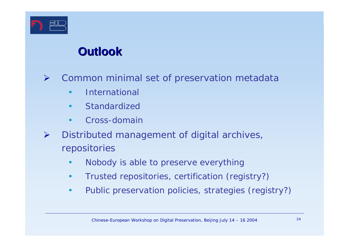

### **Outlook Outlook**

¾Common minimal set of preservation metadata

- •International
- •Standardized
- •Cross-domain
- ¾ Distributed management of digital archives, repositories
	- •Nobody is able to preserve everything
	- •Trusted repositories, certification (registry?)
	- $\bullet$ Public preservation policies, strategies (registry?)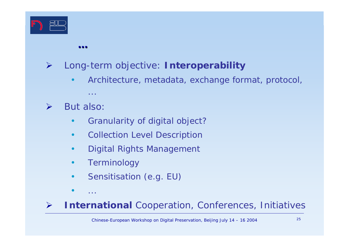

¾Long-term objective: *Interoperability*

- •Architecture, metadata, exchange format, protocol,
- ¾But also:

**...**

...

- •Granularity of digital object?
- •Collection Level Description
- •Digital Rights Management
- •Terminology
- •Sensitisation (e.g. EU)
- •...

¾*International* Cooperation, Conferences, Initiatives